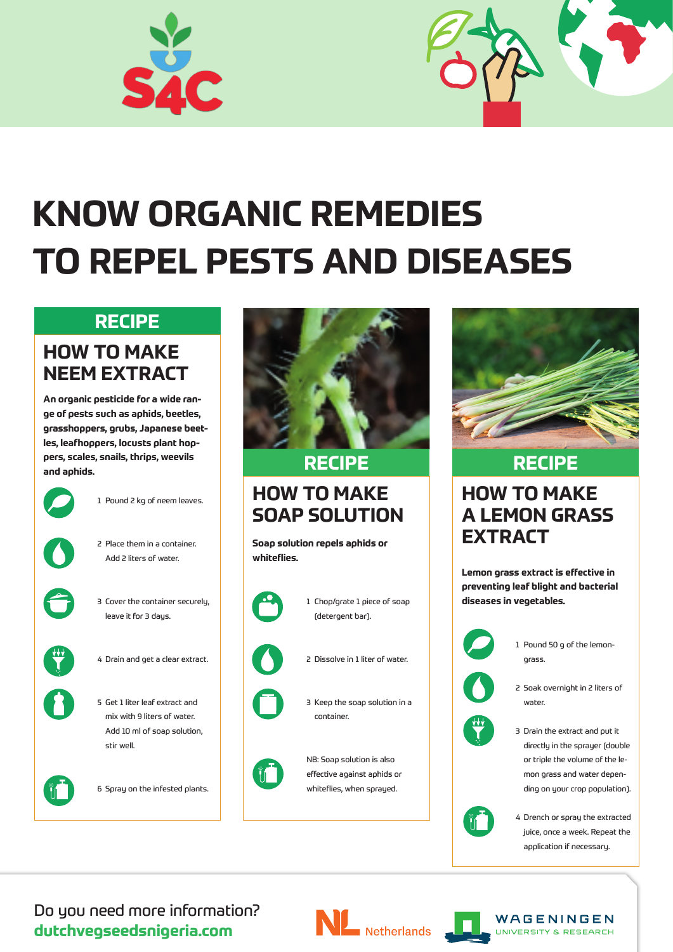



# **KNOW ORGANIC REMEDIES TO REPEL PESTS AND DISEASES**

### **HOW TO MAKE NEEM EXTRACT**

**An organic pesticide for a wide range of pests such as aphids, beetles, grasshoppers, grubs, Japanese beetles, leafhoppers, locusts plant hoppers, scales, snails, thrips, weevils and aphids.**



### **HOW TO MAKE SOAP SOLUTION**

**Soap solution repels aphids or whiteflies.**



### **HOW TO MAKE A LEMON GRASS EXTRACT**

**Lemon grass extract is effective in preventing leaf blight and bacterial diseases in vegetables.**



1 Pound 2 kg of neem leaves.



2 Place them in a container. Add 2 liters of water.



3 Cover the container securely, leave it for 3 days.



4 Drain and get a clear extract.



5 Get 1 liter leaf extract and mix with 9 liters of water.



Add 10 ml of soap solution, stir well.



6 Spray on the infested plants.



1 Chop/grate 1 piece of soap (detergent bar).



- 2 Dissolve in 1 liter of water.
- 3 Keep the soap solution in a container.



NB: Soap solution is also

effective against aphids or

whiteflies, when sprayed.



1 Pound 50 g of the lemongrass.



2 Soak overnight in 2 liters of water.

3 Drain the extract and put it directly in the sprayer (double or triple the volume of the lemon grass and water depending on your crop population).



4 Drench or spray the extracted juice, once a week. Repeat the application if necessary.

### **RECIPE RECIPE**

### **RECIPE**

Do you need more information? **dutchvegseedsnigeria.com**